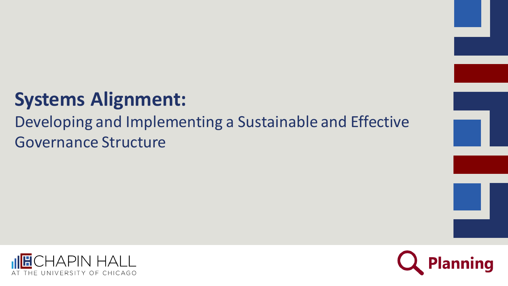## **Systems Alignment:**

#### Developing and Implementing a Sustainable and Effective Governance Structure





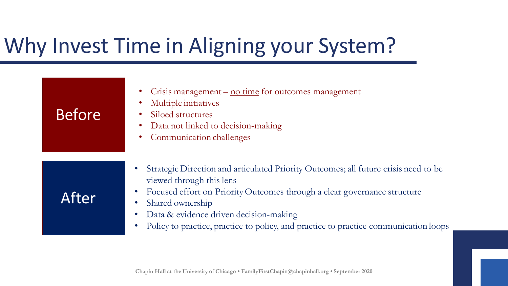# Why Invest Time in Aligning your System?

| <b>Before</b> | Crisis management $-\underline{\text{no time}}$ for outcomes management<br>Multiple initiatives<br>Siloed structures<br>Data not linked to decision-making<br>Communication challenges                                                                                                                                                            |
|---------------|---------------------------------------------------------------------------------------------------------------------------------------------------------------------------------------------------------------------------------------------------------------------------------------------------------------------------------------------------|
| After         | Strategic Direction and articulated Priority Outcomes; all future crisis need to be<br>viewed through this lens<br>Focused effort on Priority Outcomes through a clear governance structure<br>Shared ownership<br>Data & evidence driven decision-making<br>Policy to practice, practice to policy, and practice to practice communication loops |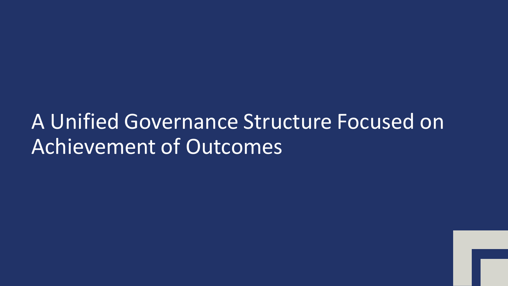## A Unified Governance Structure Focused on Achievement of Outcomes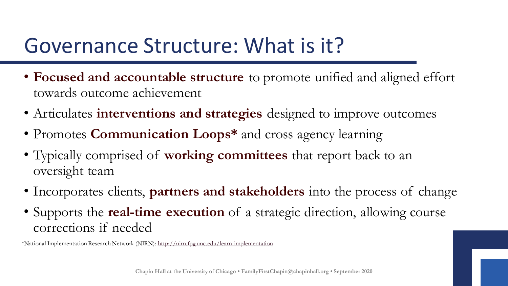## Governance Structure: What is it?

- **Focused and accountable structure** to promote unified and aligned effort towards outcome achievement
- Articulates **interventions and strategies** designed to improve outcomes
- Promotes **Communication Loops\*** and cross agency learning
- Typically comprised of **working committees** that report back to an oversight team
- Incorporates clients, **partners and stakeholders** into the process of change
- Supports the **real-time execution** of a strategic direction, allowing course corrections if needed

\*National Implementation Research Network (NIRN):<http://nirn.fpg.unc.edu/learn-implementation>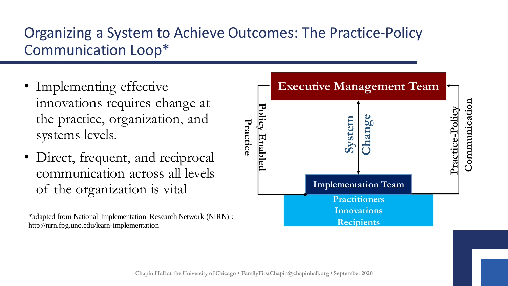#### Organizing a System to Achieve Outcomes: The Practice-Policy Communication Loop\*

- Implementing effective innovations requires change at the practice, organization, and systems levels.
- Direct, frequent, and reciprocal communication across all levels of the organization is vital

\*adapted from National Implementation Research Network (NIRN) : http://nirn.fpg.unc.edu/learn-implementation

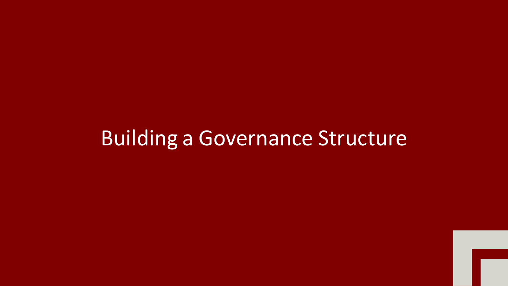## Building a Governance Structure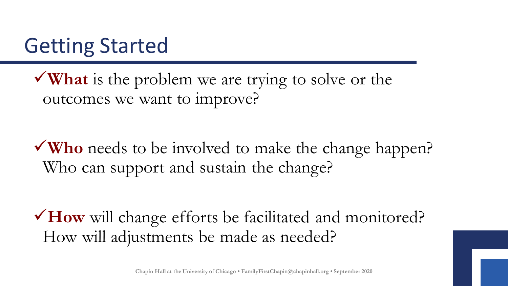## Getting Started

✓**What** is the problem we are trying to solve or the outcomes we want to improve?

✓**Who** needs to be involved to make the change happen? Who can support and sustain the change?

✓**How** will change efforts be facilitated and monitored? How will adjustments be made as needed?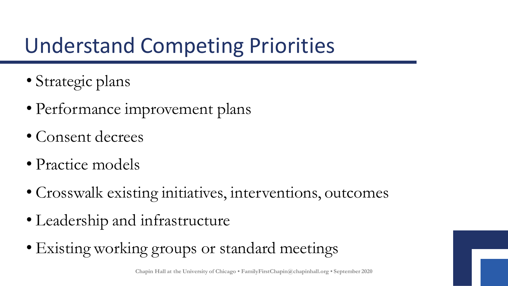## Understand Competing Priorities

- Strategic plans
- Performance improvement plans
- Consent decrees
- Practice models
- Crosswalk existing initiatives, interventions, outcomes
- Leadership and infrastructure
- Existing working groups or standard meetings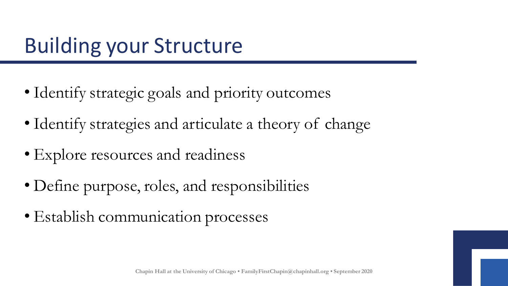## Building your Structure

- Identify strategic goals and priority outcomes
- Identify strategies and articulate a theory of change
- Explore resources and readiness
- Define purpose, roles, and responsibilities
- Establish communication processes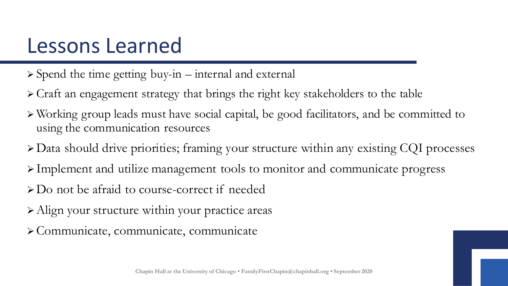## Lessons Learned

- ➢ Spend the time getting buy-in internal and external
- ➢ Craft an engagement strategy that brings the right key stakeholders to the table
- ➢ Working group leads must have social capital, be good facilitators, and be committed to using the communication resources
- ➢ Data should drive priorities; framing your structure within any existing CQI processes
- ➢ Implement and utilize management tools to monitor and communicate progress
- ➢ Do not be afraid to course-correct if needed
- ➢ Align your structure within your practice areas
- ➢ Communicate, communicate, communicate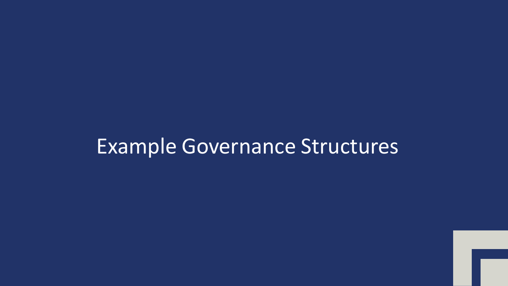#### Example Governance Structures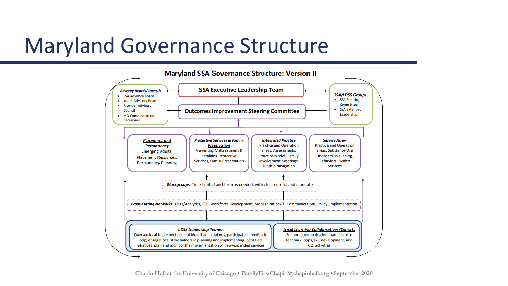#### Maryland Governance Structure

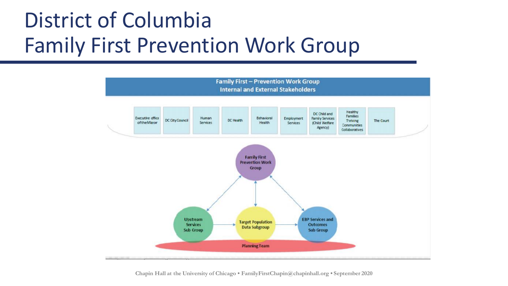## District of Columbia Family First Prevention Work Group

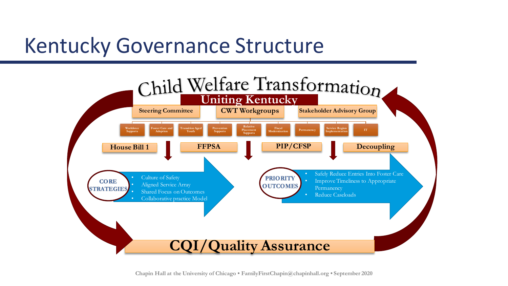### Kentucky Governance Structure